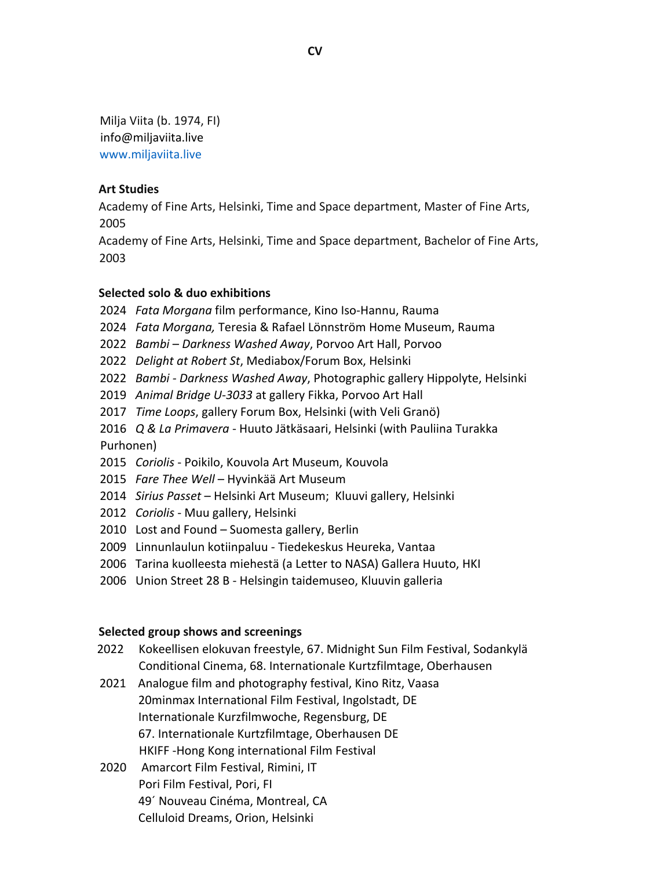Milja Viita (b. 1974, FI) info@miljaviita.live www.miljaviita.live

### **Art Studies**

Academy of Fine Arts, Helsinki, Time and Space department, Master of Fine Arts, 2005

Academy of Fine Arts, Helsinki, Time and Space department, Bachelor of Fine Arts, 2003

### **Selected solo & duo exhibitions**

- 2024 *Fata Morgana* film performance, Kino Iso-Hannu, Rauma
- 2024 *Fata Morgana,* Teresia & Rafael Lönnström Home Museum, Rauma
- 2022 *Bambi Darkness Washed Away*, Porvoo Art Hall, Porvoo
- 2022 *Delight at Robert St*, Mediabox/Forum Box, Helsinki
- 2022 *Bambi - Darkness Washed Away*, Photographic gallery Hippolyte, Helsinki
- 2019 *Animal Bridge U-3033* at gallery Fikka, Porvoo Art Hall
- 2017 *Time Loops*, gallery Forum Box, Helsinki (with Veli Granö)
- 2016 *Q & La Primavera* Huuto Jätkäsaari, Helsinki (with Pauliina Turakka

Purhonen)

- 2015 *Coriolis*  Poikilo, Kouvola Art Museum, Kouvola
- 2015 *Fare Thee Well* Hyvinkää Art Museum
- 2014 *Sirius Passet* Helsinki Art Museum; Kluuvi gallery, Helsinki
- 2012 *Coriolis* Muu gallery, Helsinki
- 2010 Lost and Found Suomesta gallery, Berlin
- 2009 Linnunlaulun kotiinpaluu Tiedekeskus Heureka, Vantaa
- 2006 Tarina kuolleesta miehestä (a Letter to NASA) Gallera Huuto, HKI
- 2006 Union Street 28 B Helsingin taidemuseo, Kluuvin galleria

### **Selected group shows and screenings**

- 2022 Kokeellisen elokuvan freestyle, 67. Midnight Sun Film Festival, Sodankylä Conditional Cinema, 68. Internationale Kurtzfilmtage, Oberhausen
- 2021 Analogue film and photography festival, Kino Ritz, Vaasa 20minmax International Film Festival, Ingolstadt, DE Internationale Kurzfilmwoche, Regensburg, DE 67. Internationale Kurtzfilmtage, Oberhausen DE HKIFF -Hong Kong international Film Festival
- 2020 Amarcort Film Festival, Rimini, IT Pori Film Festival, Pori, FI 49´ Nouveau Cinéma, Montreal, CA Celluloid Dreams, Orion, Helsinki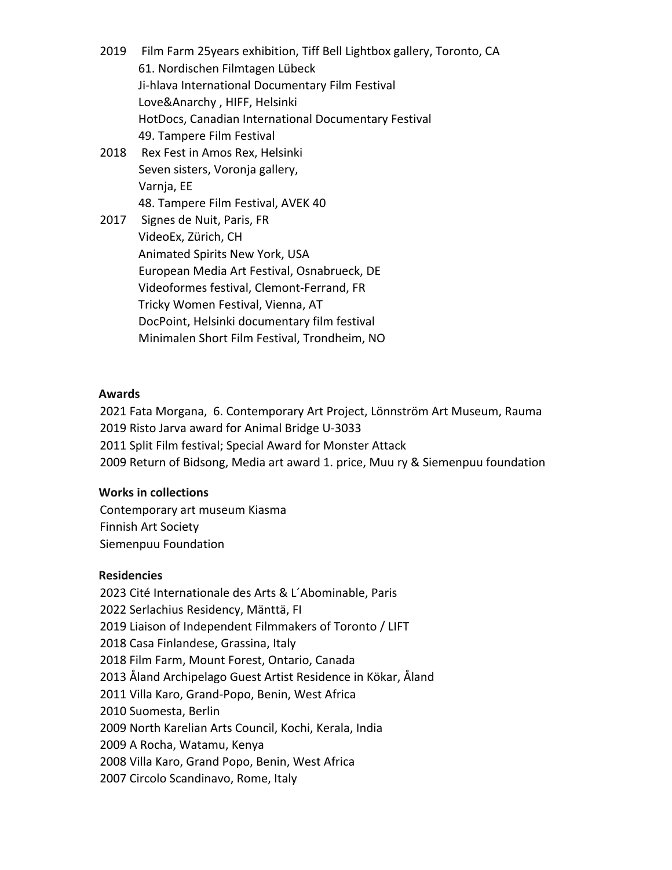- 2019 Film Farm 25years exhibition, Tiff Bell Lightbox gallery, Toronto, CA 61. Nordischen Filmtagen Lübeck Ji-hlava International Documentary Film Festival Love&Anarchy , HIFF, Helsinki HotDocs, Canadian International Documentary Festival 49. Tampere Film Festival
- 2018 Rex Fest in Amos Rex, Helsinki Seven sisters, Voronja gallery, Varnja, EE 48. Tampere Film Festival, AVEK 40
- 2017 Signes de Nuit, Paris, FR VideoEx, Zürich, CH Animated Spirits New York, USA European Media Art Festival, Osnabrueck, DE Videoformes festival, Clemont-Ferrand, FR Tricky Women Festival, Vienna, AT DocPoint, Helsinki documentary film festival Minimalen Short Film Festival, Trondheim, NO

#### **Awards**

2021 Fata Morgana, 6. Contemporary Art Project, Lönnström Art Museum, Rauma 2019 Risto Jarva award for Animal Bridge U-3033 2011 Split Film festival; Special Award for Monster Attack 2009 Return of Bidsong, Media art award 1. price, Muu ry & Siemenpuu foundation

### **Works in collections**

Contemporary art museum Kiasma Finnish Art Society Siemenpuu Foundation

#### **Residencies**

2023 Cité Internationale des Arts & L´Abominable, Paris 2022 Serlachius Residency, Mänttä, FI 2019 Liaison of Independent Filmmakers of Toronto / LIFT 2018 Casa Finlandese, Grassina, Italy 2018 Film Farm, Mount Forest, Ontario, Canada 2013 Åland Archipelago Guest Artist Residence in Kökar, Åland 2011 Villa Karo, Grand-Popo, Benin, West Africa 2010 Suomesta, Berlin 2009 North Karelian Arts Council, Kochi, Kerala, India 2009 A Rocha, Watamu, Kenya 2008 Villa Karo, Grand Popo, Benin, West Africa 2007 Circolo Scandinavo, Rome, Italy